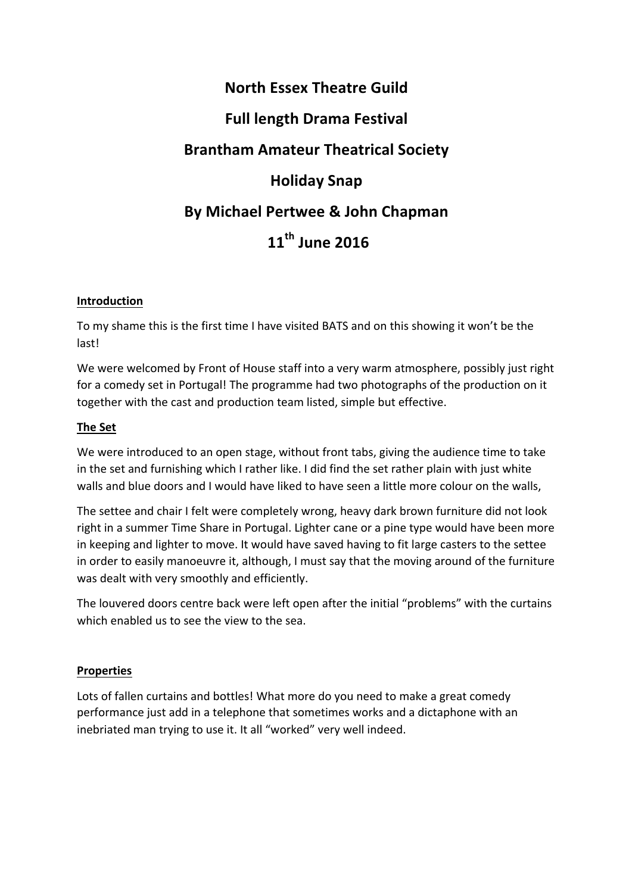# **North Essex Theatre Guild Full length Drama Festival Brantham Amateur Theatrical Society Holiday Snap By Michael Pertwee & John Chapman 11th June 2016**

# **Introduction**

To my shame this is the first time I have visited BATS and on this showing it won't be the last!

We were welcomed by Front of House staff into a very warm atmosphere, possibly just right for a comedy set in Portugal! The programme had two photographs of the production on it together with the cast and production team listed, simple but effective.

## **The Set**

We were introduced to an open stage, without front tabs, giving the audience time to take in the set and furnishing which I rather like. I did find the set rather plain with just white walls and blue doors and I would have liked to have seen a little more colour on the walls,

The settee and chair I felt were completely wrong, heavy dark brown furniture did not look right in a summer Time Share in Portugal. Lighter cane or a pine type would have been more in keeping and lighter to move. It would have saved having to fit large casters to the settee in order to easily manoeuvre it, although, I must say that the moving around of the furniture was dealt with very smoothly and efficiently.

The louvered doors centre back were left open after the initial "problems" with the curtains which enabled us to see the view to the sea.

## **Properties**

Lots of fallen curtains and bottles! What more do you need to make a great comedy performance just add in a telephone that sometimes works and a dictaphone with an inebriated man trying to use it. It all "worked" very well indeed.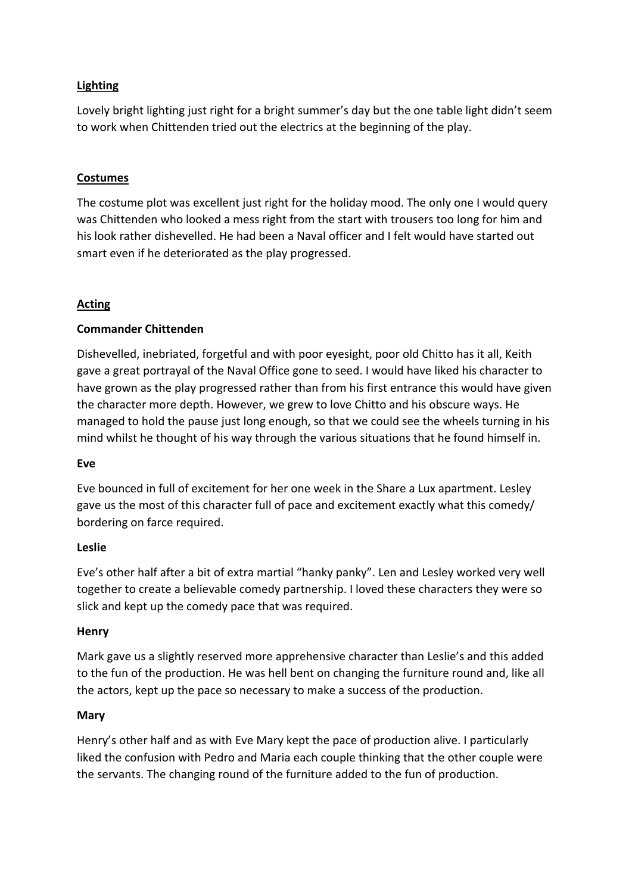# **Lighting**

Lovely bright lighting just right for a bright summer's day but the one table light didn't seem to work when Chittenden tried out the electrics at the beginning of the play.

## **Costumes**

The costume plot was excellent just right for the holiday mood. The only one I would query was Chittenden who looked a mess right from the start with trousers too long for him and his look rather dishevelled. He had been a Naval officer and I felt would have started out smart even if he deteriorated as the play progressed.

## **Acting**

#### **Commander Chittenden**

Dishevelled, inebriated, forgetful and with poor eyesight, poor old Chitto has it all, Keith gave a great portrayal of the Naval Office gone to seed. I would have liked his character to have grown as the play progressed rather than from his first entrance this would have given the character more depth. However, we grew to love Chitto and his obscure ways. He managed to hold the pause just long enough, so that we could see the wheels turning in his mind whilst he thought of his way through the various situations that he found himself in.

#### **Eve**

Eve bounced in full of excitement for her one week in the Share a Lux apartment. Lesley gave us the most of this character full of pace and excitement exactly what this comedy/ bordering on farce required.

#### **Leslie**

Eve's other half after a bit of extra martial "hanky panky". Len and Lesley worked very well together to create a believable comedy partnership. I loved these characters they were so slick and kept up the comedy pace that was required.

#### **Henry**

Mark gave us a slightly reserved more apprehensive character than Leslie's and this added to the fun of the production. He was hell bent on changing the furniture round and, like all the actors, kept up the pace so necessary to make a success of the production.

#### **Mary**

Henry's other half and as with Eve Mary kept the pace of production alive. I particularly liked the confusion with Pedro and Maria each couple thinking that the other couple were the servants. The changing round of the furniture added to the fun of production.